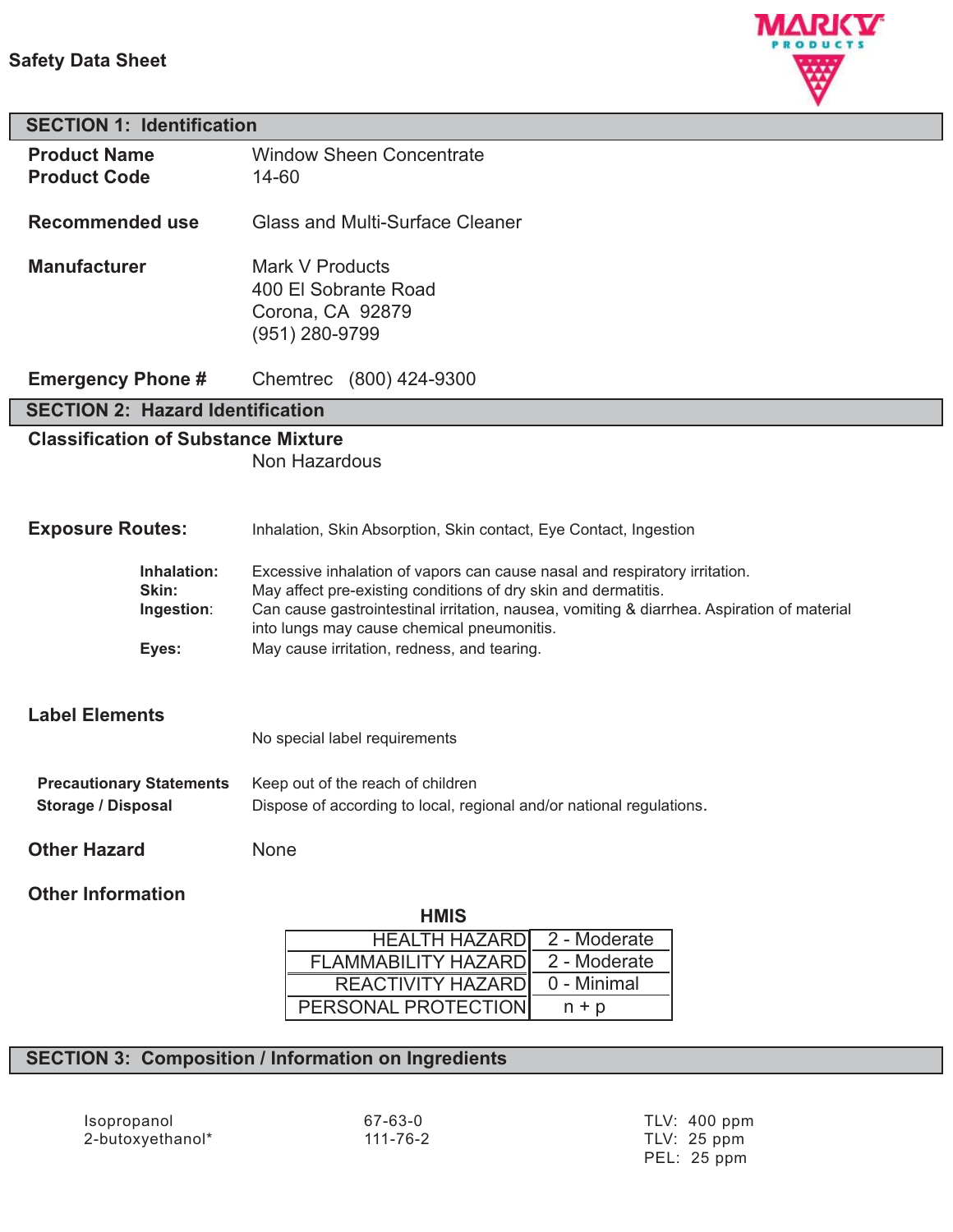## **Safety Data Sheet**



# **SECTION 1: Identification Product Name** Window Sheen Concentrate **Product Code** 14-60 **Recommended use** Glass and Multi-Surface Cleaner

**Manufacturer** Mark V Products 400 El Sobrante Road Corona, CA 92879 (951) 280-9799

**Emergency Phone #** Chemtrec (800) 424-9300

## **SECTION 2: Hazard Identification**

## **Classification of Substance Mixture**

Non Hazardous

#### **Exposure Routes:** Inhalation, Skin Absorption, Skin contact, Eye Contact, Ingestion

| <b>Inhalation:</b> | Excessive inhalation of vapors can cause nasal and respiratory irritation.                 |
|--------------------|--------------------------------------------------------------------------------------------|
| Skin:              | May affect pre-existing conditions of dry skin and dermatitis.                             |
| Ingestion:         | Can cause gastrointestinal irritation, nausea, vomiting & diarrhea. Aspiration of material |
|                    | into lungs may cause chemical pneumonitis.                                                 |
| Eyes:              | May cause irritation, redness, and tearing.                                                |

## **Label Elements**

| No special label requirements |  |  |
|-------------------------------|--|--|
|                               |  |  |

| <b>Precautionary Statements</b> | Keep out of the reach of children                                    |  |
|---------------------------------|----------------------------------------------------------------------|--|
| <b>Storage / Disposal</b>       | Dispose of according to local, regional and/or national regulations. |  |

**Other Hazard** None

## **Other Information**

| <b>HMIS</b>                |              |
|----------------------------|--------------|
| <b>HEALTH HAZARDI</b>      | 2 - Moderate |
| <b>FLAMMABILITY HAZARD</b> | 2 - Moderate |
| REACTIVITY HAZARD          | 0 - Minimal  |
| PERSONAL PROTECTION        | $n + p$      |

**HMIS**

## **SECTION 3: Composition / Information on Ingredients**

Isopropanol 67-63-0 TLV: 400 ppm 2-butoxyethanol\*

PEL: 25 ppm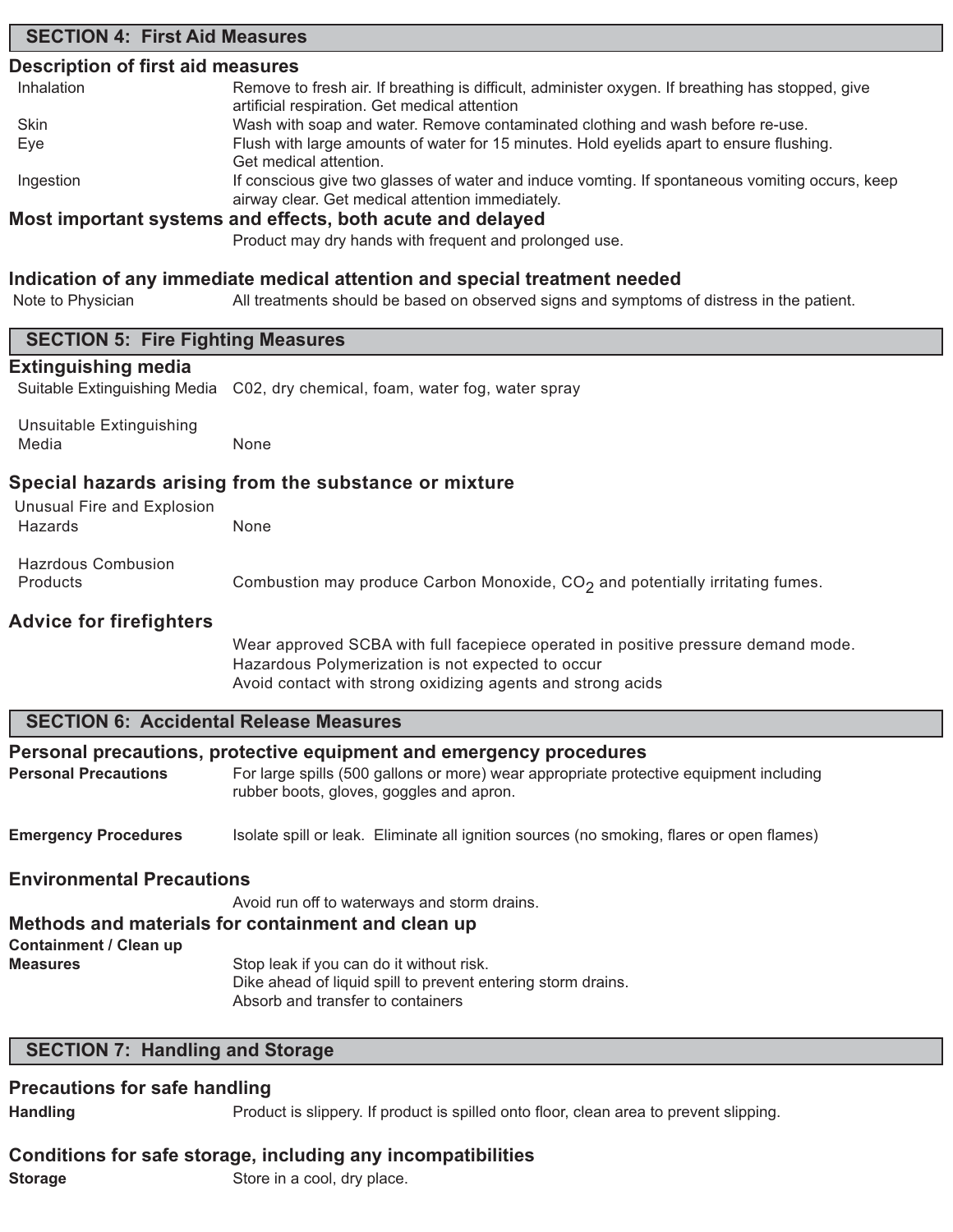## **SECTION 4: First Aid Measures**

## **Description of first aid measures**

| Inhalation | Remove to fresh air. If breathing is difficult, administer oxygen. If breathing has stopped, give |
|------------|---------------------------------------------------------------------------------------------------|
|            | artificial respiration. Get medical attention                                                     |
| Skin       | Wash with soap and water. Remove contaminated clothing and wash before re-use.                    |
| Eye        | Flush with large amounts of water for 15 minutes. Hold eyelids apart to ensure flushing.          |
|            | Get medical attention.                                                                            |
| Ingestion  | If conscious give two glasses of water and induce vomting. If spontaneous vomiting occurs, keep   |
|            | airway clear. Get medical attention immediately.                                                  |
|            | Most important systems and effects, both acute and delayed                                        |

#### **Most important systems and effects, both acute and delayed**

Product may dry hands with frequent and prolonged use.

## **Indication of any immediate medical attention and special treatment needed**

| Note to Physician                                          | All treatments should be based on observed signs and symptoms of distress in the patient.                                                                                                                 |  |  |
|------------------------------------------------------------|-----------------------------------------------------------------------------------------------------------------------------------------------------------------------------------------------------------|--|--|
| <b>SECTION 5: Fire Fighting Measures</b>                   |                                                                                                                                                                                                           |  |  |
| <b>Extinguishing media</b><br>Suitable Extinguishing Media | C02, dry chemical, foam, water fog, water spray                                                                                                                                                           |  |  |
| Unsuitable Extinguishing<br>Media                          | None                                                                                                                                                                                                      |  |  |
| <b>Unusual Fire and Explosion</b>                          | Special hazards arising from the substance or mixture                                                                                                                                                     |  |  |
| Hazards                                                    | None                                                                                                                                                                                                      |  |  |
| <b>Hazrdous Combusion</b><br>Products                      | Combustion may produce Carbon Monoxide, CO <sub>2</sub> and potentially irritating fumes.                                                                                                                 |  |  |
| <b>Advice for firefighters</b>                             | Wear approved SCBA with full facepiece operated in positive pressure demand mode.<br>Hazardous Polymerization is not expected to occur<br>Avoid contact with strong oxidizing agents and strong acids     |  |  |
| <b>SECTION 6: Accidental Release Measures</b>              |                                                                                                                                                                                                           |  |  |
| <b>Personal Precautions</b>                                | Personal precautions, protective equipment and emergency procedures<br>For large spills (500 gallons or more) wear appropriate protective equipment including<br>rubber boots, gloves, goggles and apron. |  |  |
| <b>Emergency Procedures</b>                                | Isolate spill or leak. Eliminate all ignition sources (no smoking, flares or open flames)                                                                                                                 |  |  |
| <b>Environmental Precautions</b>                           |                                                                                                                                                                                                           |  |  |
|                                                            | Avoid run off to waterways and storm drains.                                                                                                                                                              |  |  |
|                                                            | Methods and materials for containment and clean up                                                                                                                                                        |  |  |
| <b>Containment / Clean up</b><br><b>Measures</b>           | Stop leak if you can do it without risk.<br>Dike ahead of liquid spill to prevent entering storm drains.<br>Absorb and transfer to containers                                                             |  |  |
| <b>SECTION 7: Handling and Storage</b>                     |                                                                                                                                                                                                           |  |  |

#### **Precautions for safe handling**

Handling **Handling** Product is slippery. If product is spilled onto floor, clean area to prevent slipping.

#### **Conditions for safe storage, including any incompatibilities**

**Storage** Store in a cool, dry place.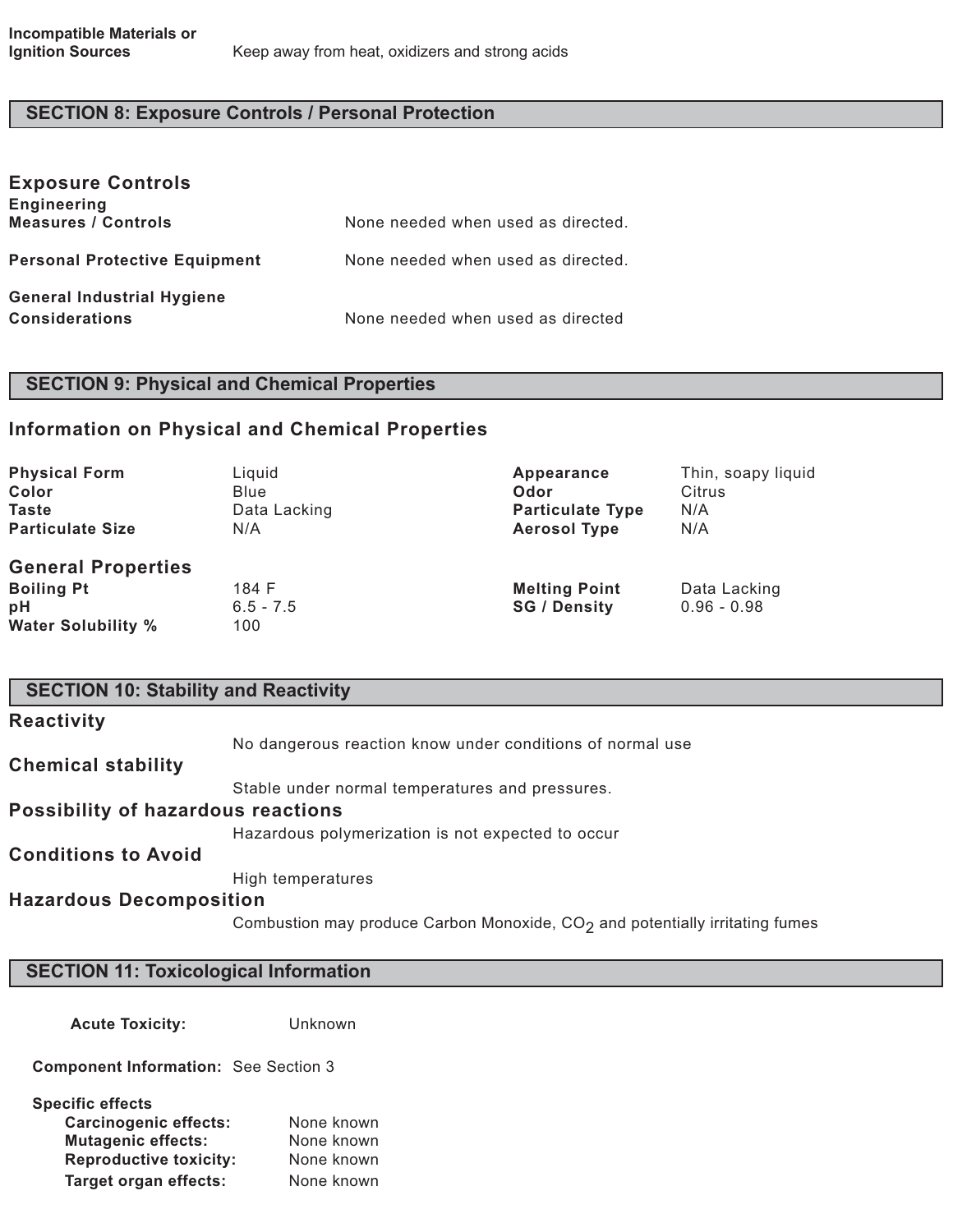# **SECTION 8: Exposure Controls / Personal Protection**

| <b>Exposure Controls</b><br><b>Engineering</b> |                                    |
|------------------------------------------------|------------------------------------|
| <b>Measures / Controls</b>                     | None needed when used as directed. |
| <b>Personal Protective Equipment</b>           | None needed when used as directed. |
| <b>General Industrial Hygiene</b>              |                                    |
| <b>Considerations</b>                          | None needed when used as directed  |

# **SECTION 9: Physical and Chemical Properties**

## **Information on Physical and Chemical Properties**

| <b>Physical Form</b>      | Liquid       | Appearance              | Thin, soapy liquid |
|---------------------------|--------------|-------------------------|--------------------|
| Color                     | Blue         | Odor                    | Citrus             |
| <b>Taste</b>              | Data Lacking | <b>Particulate Type</b> | N/A                |
| <b>Particulate Size</b>   | N/A          | <b>Aerosol Type</b>     | N/A                |
| <b>General Properties</b> |              |                         |                    |
| <b>Boiling Pt</b>         | 184 F        | <b>Melting Point</b>    | Data Lacking       |
| pH                        | $6.5 - 7.5$  | <b>SG / Density</b>     | $0.96 - 0.98$      |
| <b>Water Solubility %</b> | 100          |                         |                    |

| <b>SECTION 10: Stability and Reactivity</b> |                                                                                |  |
|---------------------------------------------|--------------------------------------------------------------------------------|--|
| <b>Reactivity</b>                           |                                                                                |  |
|                                             | No dangerous reaction know under conditions of normal use                      |  |
| <b>Chemical stability</b>                   |                                                                                |  |
|                                             | Stable under normal temperatures and pressures.                                |  |
| <b>Possibility of hazardous reactions</b>   |                                                                                |  |
|                                             | Hazardous polymerization is not expected to occur                              |  |
| <b>Conditions to Avoid</b>                  |                                                                                |  |
|                                             | High temperatures                                                              |  |
| <b>Hazardous Decomposition</b>              |                                                                                |  |
|                                             | Combustion may produce Carbon Monoxide, $CO2$ and potentially irritating fumes |  |

# **SECTION 11: Toxicological Information**

**Acute Toxicity:** Unknown

**Component Information:** See Section 3

| <b>Specific effects</b>       |            |
|-------------------------------|------------|
| <b>Carcinogenic effects:</b>  | None known |
| <b>Mutagenic effects:</b>     | None known |
| <b>Reproductive toxicity:</b> | None known |
| <b>Target organ effects:</b>  | None known |